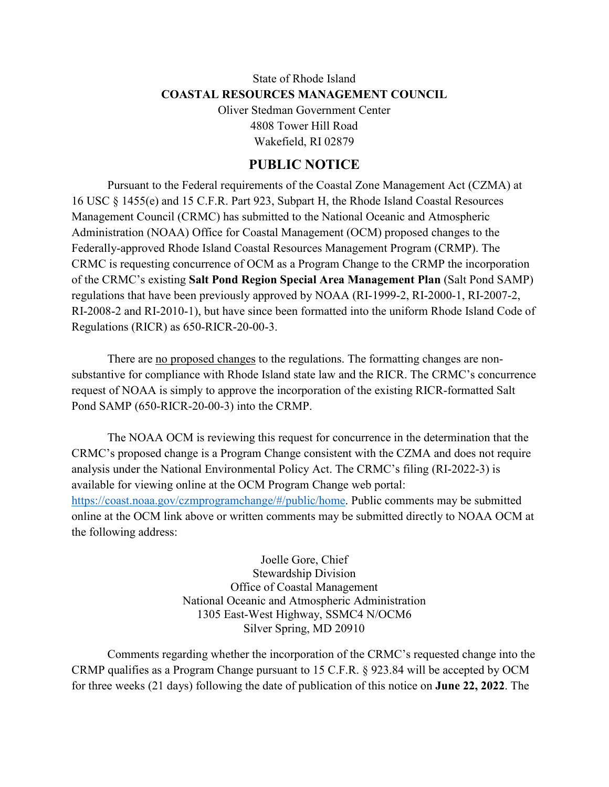## State of Rhode Island **COASTAL RESOURCES MANAGEMENT COUNCIL** Oliver Stedman Government Center 4808 Tower Hill Road

Wakefield, RI 02879

## **PUBLIC NOTICE**

Pursuant to the Federal requirements of the Coastal Zone Management Act (CZMA) at 16 USC § 1455(e) and 15 C.F.R. Part 923, Subpart H, the Rhode Island Coastal Resources Management Council (CRMC) has submitted to the National Oceanic and Atmospheric Administration (NOAA) Office for Coastal Management (OCM) proposed changes to the Federally-approved Rhode Island Coastal Resources Management Program (CRMP). The CRMC is requesting concurrence of OCM as a Program Change to the CRMP the incorporation of the CRMC's existing **Salt Pond Region Special Area Management Plan** (Salt Pond SAMP) regulations that have been previously approved by NOAA (RI-1999-2, RI-2000-1, RI-2007-2, RI-2008-2 and RI-2010-1), but have since been formatted into the uniform Rhode Island Code of Regulations (RICR) as 650-RICR-20-00-3.

There are <u>no proposed changes</u> to the regulations. The formatting changes are nonsubstantive for compliance with Rhode Island state law and the RICR. The CRMC's concurrence request of NOAA is simply to approve the incorporation of the existing RICR-formatted Salt Pond SAMP (650-RICR-20-00-3) into the CRMP.

The NOAA OCM is reviewing this request for concurrence in the determination that the CRMC's proposed change is a Program Change consistent with the CZMA and does not require analysis under the National Environmental Policy Act. The CRMC's filing (RI-2022-3) is available for viewing online at the OCM Program Change web portal: [https://coast.noaa.gov/czmprogramchange/#/public/home.](https://coast.noaa.gov/czmprogramchange/#/public/home) Public comments may be submitted online at the OCM link above or written comments may be submitted directly to NOAA OCM at the following address:

> Joelle Gore, Chief Stewardship Division Office of Coastal Management National Oceanic and Atmospheric Administration 1305 East-West Highway, SSMC4 N/OCM6 Silver Spring, MD 20910

Comments regarding whether the incorporation of the CRMC's requested change into the CRMP qualifies as a Program Change pursuant to 15 C.F.R. § 923.84 will be accepted by OCM for three weeks (21 days) following the date of publication of this notice on **June 22, 2022**. The